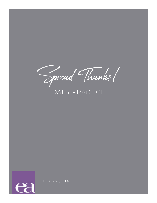Spread Thanks!

# DAILY PRACTICE



ELENA ANGUITA